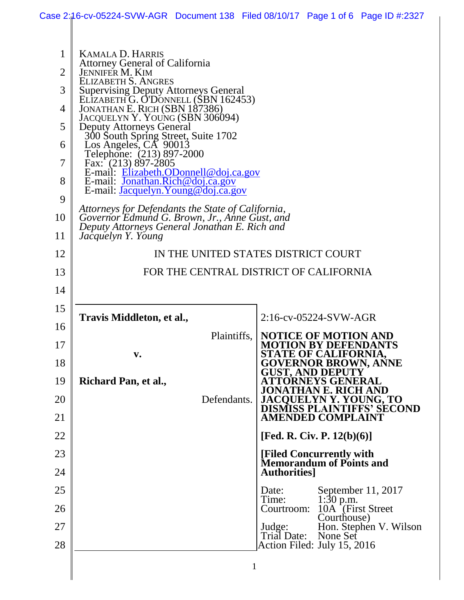|    | Case 2:16-cv-05224-SVW-AGR Document 138 Filed 08/10/17 Page 1 of 6 Page ID #:2327              |                                                                                          |  |
|----|------------------------------------------------------------------------------------------------|------------------------------------------------------------------------------------------|--|
|    |                                                                                                |                                                                                          |  |
| 1  | <b>KAMALA D. HARRIS</b>                                                                        |                                                                                          |  |
| 2  | <b>Attorney General of California</b><br><b>JENNIFER M. KIM</b>                                |                                                                                          |  |
| 3  | ELIZABETH S. ANGRES<br>Supervising Deputy Attorneys General                                    |                                                                                          |  |
| 4  | ELIZABETH G. O'DONNELL (SBN 162453)<br>JONATHAN E. RICH (SBN 187386)                           |                                                                                          |  |
| 5  | JACQUELYN Y. YOUNG (SBN 306094)<br><b>Deputy Attorneys General</b>                             |                                                                                          |  |
| 6  | 300 South Spring Street, Suite 1702<br>Los Angeles, CA 90013                                   |                                                                                          |  |
| 7  | Telephone: (213) 897-2000<br>Fax: $(213) 897 - 2805$                                           |                                                                                          |  |
| 8  | E-mail: Elizabeth.ODonnell@doj.ca.gov<br>E-mail: Jonathan.Rich@doj.ca.gov                      |                                                                                          |  |
| 9  | E-mail: <i>Jacquelyn.Young@doj.ca.gov</i>                                                      |                                                                                          |  |
| 10 | Attorneys for Defendants the State of California,                                              |                                                                                          |  |
| 11 | Governor Edmund G. Brown, Jr., Anne Gust, and<br>Deputy Attorneys General Jonathan E. Rich and |                                                                                          |  |
| 12 | Jacquelyn Y. Young<br>IN THE UNITED STATES DISTRICT COURT                                      |                                                                                          |  |
| 13 | FOR THE CENTRAL DISTRICT OF CALIFORNIA                                                         |                                                                                          |  |
| 14 |                                                                                                |                                                                                          |  |
| 15 |                                                                                                |                                                                                          |  |
| 16 | Travis Middleton, et al.,                                                                      | 2:16-cv-05224-SVW-AGR                                                                    |  |
| 17 | Plaintiffs,                                                                                    | <b>NOTICE OF MOTION AND</b><br><b>MOTION BY DEFENDANTS</b>                               |  |
| 18 | $\mathbf{v}$ .                                                                                 | STATE OF CALIFORNIA,<br><b>GOVERNOR BROWN, ANNE</b>                                      |  |
| 19 |                                                                                                | <b>GUST, AND DEPUTY</b><br><b>ATTORNEYS GENERAL</b>                                      |  |
| 20 | Richard Pan, et al.,<br>Defendants.                                                            | JONATHAN E. RICH AND                                                                     |  |
| 21 |                                                                                                | <b>JACQUELYN Y. YOUNG, TO<br/>DISMISS PLAINTIFFS' SECOND</b><br><b>AMENDED COMPLAINT</b> |  |
| 22 |                                                                                                | [Fed. R. Civ. P. $12(b)(6)$ ]                                                            |  |
| 23 |                                                                                                |                                                                                          |  |
| 24 |                                                                                                | [Filed Concurrently with]<br><b>Memorandum of Points and</b><br><b>Authorities</b>       |  |
| 25 |                                                                                                | September 11, 2017<br>Date:                                                              |  |
| 26 |                                                                                                | 1:30 p.m.<br>Time:<br>10A [First Street]<br>Courtroom:                                   |  |
| 27 |                                                                                                | Courthouse)<br>Hon. Stephen V. Wilson<br>Judge:                                          |  |
| 28 |                                                                                                | Trial Date:<br>None Set<br>Action Filed: July 15, 2016                                   |  |
|    |                                                                                                | 1                                                                                        |  |
|    |                                                                                                |                                                                                          |  |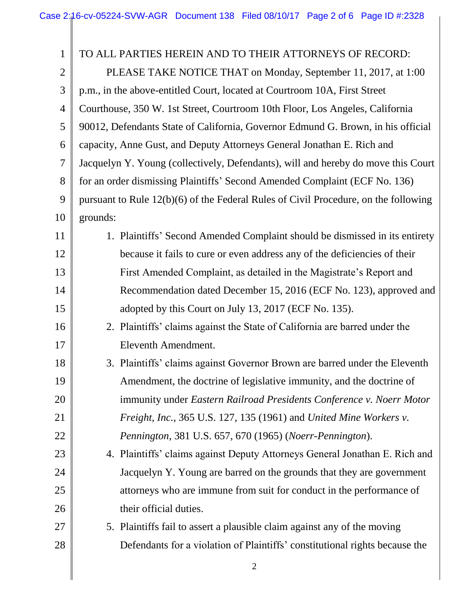| 1              | TO ALL PARTIES HEREIN AND TO THEIR ATTORNEYS OF RECORD:                             |  |  |
|----------------|-------------------------------------------------------------------------------------|--|--|
| $\overline{2}$ | PLEASE TAKE NOTICE THAT on Monday, September 11, 2017, at 1:00                      |  |  |
| 3              | p.m., in the above-entitled Court, located at Courtroom 10A, First Street           |  |  |
| $\overline{4}$ | Courthouse, 350 W. 1st Street, Courtroom 10th Floor, Los Angeles, California        |  |  |
| 5              | 90012, Defendants State of California, Governor Edmund G. Brown, in his official    |  |  |
| 6              | capacity, Anne Gust, and Deputy Attorneys General Jonathan E. Rich and              |  |  |
| 7              | Jacquelyn Y. Young (collectively, Defendants), will and hereby do move this Court   |  |  |
| 8              | for an order dismissing Plaintiffs' Second Amended Complaint (ECF No. 136)          |  |  |
| 9              | pursuant to Rule 12(b)(6) of the Federal Rules of Civil Procedure, on the following |  |  |
| 10             | grounds:                                                                            |  |  |
| 11             | 1. Plaintiffs' Second Amended Complaint should be dismissed in its entirety         |  |  |
| 12             | because it fails to cure or even address any of the deficiencies of their           |  |  |
| 13             | First Amended Complaint, as detailed in the Magistrate's Report and                 |  |  |
| 14             | Recommendation dated December 15, 2016 (ECF No. 123), approved and                  |  |  |
| 15             | adopted by this Court on July 13, 2017 (ECF No. 135).                               |  |  |
| 16             | 2. Plaintiffs' claims against the State of California are barred under the          |  |  |
| 17             | Eleventh Amendment.                                                                 |  |  |
| 18             | 3. Plaintiffs' claims against Governor Brown are barred under the Eleventh          |  |  |
| 19             | Amendment, the doctrine of legislative immunity, and the doctrine of                |  |  |
| 20             | immunity under Eastern Railroad Presidents Conference v. Noerr Motor                |  |  |
| 21             | Freight, Inc., 365 U.S. 127, 135 (1961) and United Mine Workers v.                  |  |  |
| 22             | Pennington, 381 U.S. 657, 670 (1965) (Noerr-Pennington).                            |  |  |
| 23             | 4. Plaintiffs' claims against Deputy Attorneys General Jonathan E. Rich and         |  |  |
| 24             | Jacquelyn Y. Young are barred on the grounds that they are government               |  |  |
| 25             | attorneys who are immune from suit for conduct in the performance of                |  |  |
| 26             | their official duties.                                                              |  |  |
| 27             | 5. Plaintiffs fail to assert a plausible claim against any of the moving            |  |  |
| 28             | Defendants for a violation of Plaintiffs' constitutional rights because the         |  |  |
|                |                                                                                     |  |  |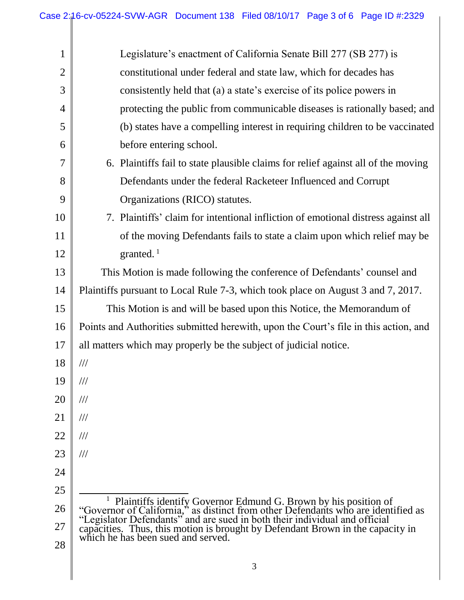| 1              | Legislature's enactment of California Senate Bill 277 (SB 277) is                                                                                                                                                                       |  |  |
|----------------|-----------------------------------------------------------------------------------------------------------------------------------------------------------------------------------------------------------------------------------------|--|--|
| $\overline{2}$ | constitutional under federal and state law, which for decades has                                                                                                                                                                       |  |  |
| 3              | consistently held that (a) a state's exercise of its police powers in                                                                                                                                                                   |  |  |
| 4              | protecting the public from communicable diseases is rationally based; and                                                                                                                                                               |  |  |
| 5              | (b) states have a compelling interest in requiring children to be vaccinated                                                                                                                                                            |  |  |
| 6              | before entering school.                                                                                                                                                                                                                 |  |  |
| 7              | 6. Plaintiffs fail to state plausible claims for relief against all of the moving                                                                                                                                                       |  |  |
| 8              | Defendants under the federal Racketeer Influenced and Corrupt                                                                                                                                                                           |  |  |
| 9              | Organizations (RICO) statutes.                                                                                                                                                                                                          |  |  |
| 10             | 7. Plaintiffs' claim for intentional infliction of emotional distress against all                                                                                                                                                       |  |  |
| 11             | of the moving Defendants fails to state a claim upon which relief may be                                                                                                                                                                |  |  |
| 12             | granted. $1$                                                                                                                                                                                                                            |  |  |
| 13             | This Motion is made following the conference of Defendants' counsel and                                                                                                                                                                 |  |  |
| 14             | Plaintiffs pursuant to Local Rule 7-3, which took place on August 3 and 7, 2017.                                                                                                                                                        |  |  |
| 15             | This Motion is and will be based upon this Notice, the Memorandum of                                                                                                                                                                    |  |  |
| 16             | Points and Authorities submitted herewith, upon the Court's file in this action, and                                                                                                                                                    |  |  |
| 17             | all matters which may properly be the subject of judicial notice.                                                                                                                                                                       |  |  |
| 18             | 111                                                                                                                                                                                                                                     |  |  |
| 19             | $\frac{1}{1}$                                                                                                                                                                                                                           |  |  |
| 20             | $\frac{1}{1}$                                                                                                                                                                                                                           |  |  |
| 21             | $\frac{1}{1}$                                                                                                                                                                                                                           |  |  |
| 22             | $\frac{1}{1}$                                                                                                                                                                                                                           |  |  |
| 23             | $\frac{1}{1}$                                                                                                                                                                                                                           |  |  |
| 24             |                                                                                                                                                                                                                                         |  |  |
| 25             |                                                                                                                                                                                                                                         |  |  |
| 26             | <sup>1</sup> Plaintiffs identify Governor Edmund G. Brown by his position of "Governor of California," as distinct from other Defendants who are identified as "Legislator Defendants" and are sued in both their individual and offici |  |  |
| 27             | capacities. Thus, this motion is brought by Defendant Brown in the capacity in<br>which he has been sued and served.                                                                                                                    |  |  |
| 28             |                                                                                                                                                                                                                                         |  |  |
|                |                                                                                                                                                                                                                                         |  |  |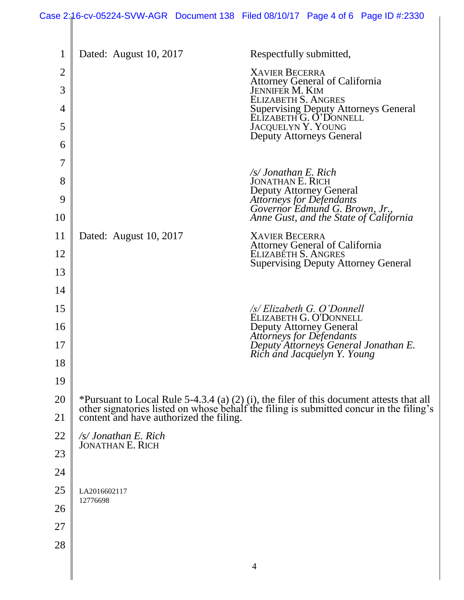| $\mathbf 1$ | Dated: August 10, 2017                                                                                                                                                                                                         | Respectfully submitted,                                                                              |
|-------------|--------------------------------------------------------------------------------------------------------------------------------------------------------------------------------------------------------------------------------|------------------------------------------------------------------------------------------------------|
| 2           |                                                                                                                                                                                                                                | <b>XAVIER BECERRA</b><br><b>Attorney General of California</b>                                       |
| 3           |                                                                                                                                                                                                                                | <b>JENNIFER M. KIM</b><br><b>ELIZABETH S. ANGRES</b>                                                 |
| 4           |                                                                                                                                                                                                                                | Supervising Deputy Attorneys General<br>ELIZABETH G. O'DONNELL                                       |
| 5           |                                                                                                                                                                                                                                | <b>JACQUELYN Y. YOUNG</b><br><b>Deputy Attorneys General</b>                                         |
| 6           |                                                                                                                                                                                                                                |                                                                                                      |
| 7           |                                                                                                                                                                                                                                | /s/ Jonathan E. Rich                                                                                 |
| 8           |                                                                                                                                                                                                                                | <b>JONATHAN E. RICH</b><br><b>Deputy Attorney General</b>                                            |
| 9<br>10     |                                                                                                                                                                                                                                | Attorneys for Defendants<br>Governor Edmund G. Brown, Jr.,<br>Anne Gust, and the State of California |
| 11          | Dated: August 10, 2017                                                                                                                                                                                                         | <b>XAVIER BECERRA</b>                                                                                |
| 12          |                                                                                                                                                                                                                                | <b>Attorney General of California</b><br>ELIZABETH S. ANGRES                                         |
| 13          |                                                                                                                                                                                                                                | <b>Supervising Deputy Attorney General</b>                                                           |
| 14          |                                                                                                                                                                                                                                |                                                                                                      |
| 15          |                                                                                                                                                                                                                                | /s/ Elizabeth G. O'Donnell<br>ELIZABETH G. O'DONNELL                                                 |
| 16          |                                                                                                                                                                                                                                | <b>Deputy Attorney General</b>                                                                       |
| 17          |                                                                                                                                                                                                                                | Attorneys for Defendants<br>Deputy Attorneys General Jonathan E.<br>Rich and Jacquelyn Y. Young      |
| 18          |                                                                                                                                                                                                                                |                                                                                                      |
| 19          |                                                                                                                                                                                                                                |                                                                                                      |
| 20          | *Pursuant to Local Rule 5-4.3.4 (a) (2) (i), the filer of this document attests that all<br>other signatories listed on whose behalf the filing is submitted concur in the filing's<br>content and have authorized the filing. |                                                                                                      |
| 21          |                                                                                                                                                                                                                                |                                                                                                      |
| 22          | $\sqrt{s}$ Jonathan E. Rich<br><b>JONATHAN E. RICH</b>                                                                                                                                                                         |                                                                                                      |
| 23          |                                                                                                                                                                                                                                |                                                                                                      |
| 24          |                                                                                                                                                                                                                                |                                                                                                      |
| 25          | LA2016602117<br>12776698                                                                                                                                                                                                       |                                                                                                      |
| 26          |                                                                                                                                                                                                                                |                                                                                                      |
| 27          |                                                                                                                                                                                                                                |                                                                                                      |
| 28          |                                                                                                                                                                                                                                |                                                                                                      |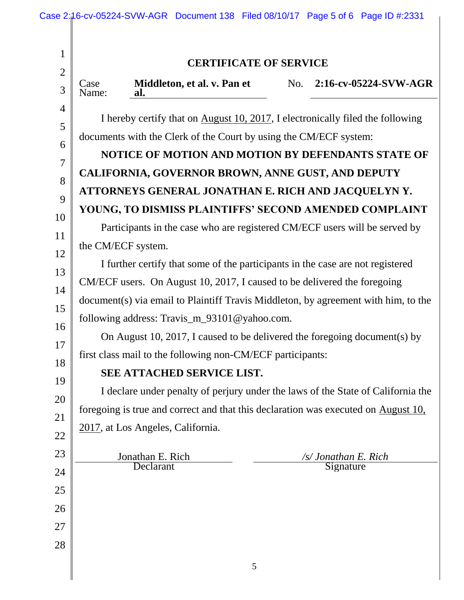|                                                                                    | <b>CERTIFICATE OF SERVICE</b>                                                      |     |                       |
|------------------------------------------------------------------------------------|------------------------------------------------------------------------------------|-----|-----------------------|
| Case<br>Name:                                                                      | Middleton, et al. v. Pan et<br>al.                                                 | No. | 2:16-cv-05224-SVW-AGR |
|                                                                                    | I hereby certify that on August 10, 2017, I electronically filed the following     |     |                       |
| documents with the Clerk of the Court by using the CM/ECF system:                  |                                                                                    |     |                       |
|                                                                                    | NOTICE OF MOTION AND MOTION BY DEFENDANTS STATE OF                                 |     |                       |
|                                                                                    | CALIFORNIA, GOVERNOR BROWN, ANNE GUST, AND DEPUTY                                  |     |                       |
| ATTORNEYS GENERAL JONATHAN E. RICH AND JACQUELYN Y.                                |                                                                                    |     |                       |
|                                                                                    | YOUNG, TO DISMISS PLAINTIFFS' SECOND AMENDED COMPLAINT                             |     |                       |
|                                                                                    | Participants in the case who are registered CM/ECF users will be served by         |     |                       |
|                                                                                    | the CM/ECF system.                                                                 |     |                       |
| I further certify that some of the participants in the case are not registered     |                                                                                    |     |                       |
| CM/ECF users. On August 10, 2017, I caused to be delivered the foregoing           |                                                                                    |     |                       |
| document(s) via email to Plaintiff Travis Middleton, by agreement with him, to the |                                                                                    |     |                       |
| following address: Travis_m_93101@yahoo.com.                                       |                                                                                    |     |                       |
| On August 10, 2017, I caused to be delivered the foregoing document(s) by          |                                                                                    |     |                       |
| first class mail to the following non-CM/ECF participants:                         |                                                                                    |     |                       |
| SEE ATTACHED SERVICE LIST.                                                         |                                                                                    |     |                       |
|                                                                                    | I declare under penalty of perjury under the laws of the State of California the   |     |                       |
|                                                                                    | foregoing is true and correct and that this declaration was executed on August 10, |     |                       |
|                                                                                    | 2017, at Los Angeles, California.                                                  |     |                       |
|                                                                                    | Jonathan E. Rich                                                                   |     | /s/ Jonathan E. Rich  |
|                                                                                    | Declarant                                                                          |     | Signature             |
|                                                                                    |                                                                                    |     |                       |
|                                                                                    |                                                                                    |     |                       |
|                                                                                    |                                                                                    |     |                       |
|                                                                                    |                                                                                    |     |                       |
|                                                                                    |                                                                                    | 5   |                       |